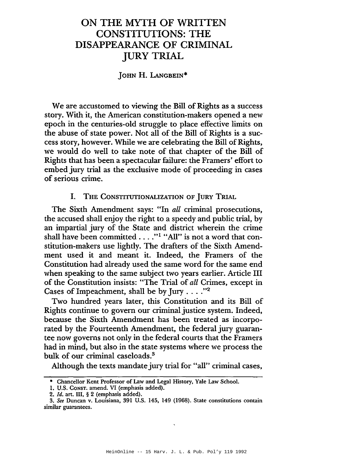# ON THE MYTH OF WRITTEN CONSTITUTIONS: THE DISAPPEARANCE OF CRIMINAL JURY TRIAL

## JOHN H. LANGBEIN\*

We are accustomed to viewing the Bill of Rights as a success story. With it, the American constitution-makers opened a new epoch in the centuries-old struggle to place effective limits on the abuse of state power. Not all of the Bill of Rights is a success story, however. While we are celebrating the Bill of Rights, we would do well to take note of that chapter of the Bill of Rights that has been a spectacular failure: the Framers' effort to embed jury trial as the exclusive mode of proceeding in cases of serious crime.

## I. THE CONSTITUTIONALIZATION OF JURY TRIAL

The Sixth Amendment says: "In *all* criminal prosecutions, the accused shall enjoy the right to a speedy and public trial, by an impartial jury of the State and district wherein the crime shall have been committed . . . ."<sup>1</sup> "All" is not a word that constitution-makers use lightly. The drafters of the Sixth Amendment used it and meant it. Indeed, the Framers of the Constitution had already used the same word for the same end when speaking to the same subject two years earlier. Article III of the Constitution insists: "The Trial of *all* Crimes, except in Cases of Impeachment, shall be by Jury  $\dots$ ."<sup>2</sup>

Two hundred years later, this Constitution and its Bill of Rights continue to govern our criminal justice system. Indeed, because the Sixth Amendment has been treated as incorporated by the Fourteenth Amendment, the federal jury guarantee now governs not only in the federal courts that the Framers had in mind, but also in the state systems where we process the bulk of our criminal caseloads.<sup>3</sup>

Although the texts mandate jury trial for "all" criminal cases,

 $\ddot{\phantom{0}}$ 

<sup>•</sup> Chancellor Kent Professor of Law and Legal History, Yale Law School.

<sup>1.</sup> U.S. CONST. amend. VI (emphasis added).

<sup>2.</sup> *Id.* art. III, § 2 (emphasis added).

*<sup>3.</sup> See* Duncan v. Louisiana, 391 U.S. 145, 149 (1968). State constitutions contain similar guarantees.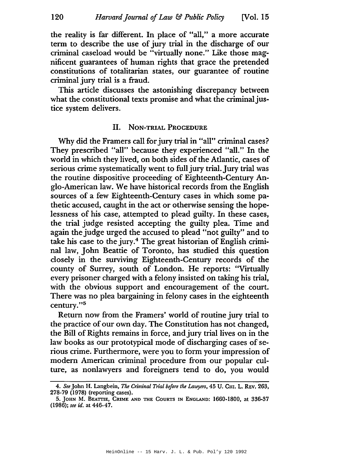the reality is far different. In place of "all," a more accurate term to describe the use of jury trial in the discharge of our criminal caseload would be "virtually none." Like those magnificent guarantees of human rights that grace the pretended constitutions of totalitarian states, our guarantee of routine criminal jury trial is a fraud.

This article discusses the astonishing discrepancy between what the constitutional texts promise and what the criminal justice system delivers.

### II. NON-TRIAL PROCEDURE

Why did the Framers call for jury trial in "all" criminal cases? They prescribed "all" because they experienced "all." In the world in which they lived, on both sides of the Atlantic, cases of serious crime systematically went to full jury trial. Jury trial was the routine dispositive proceeding of Eighteenth-Century Anglo-American law. We have historical records from the English sources of a few Eighteenth-Century cases in which some pathetic accused, caught in the act or otherwise sensing the hopelessness of his case, attempted to plead guilty. In these cases, the trial judge resisted accepting the guilty plea. Time and again the judge urged the accused to plead "not guilty" and to take his case to the jury.<sup>4</sup> The great historian of English criminal law, John Beattie of Toronto, has studied this question closely in the surviving Eighteenth-Century records of the county of Surrey, south of London. He reports: "Virtually every prisoner charged with a felony insisted on taking his trial, with the obvious support and encouragement of the court. There was no plea bargaining in felony cases in the eighteenth century."s

Return now from the Framers' world of routine jury trial to the practice of our own day. The Constitution has not changed, the Bill of Rights remains in force, and jury trial lives on in the law books as our prototypical mode of discharging cases of serious crime. Furthermore, were you to form your impression of modern American criminal procedure from our popular culture, as nonlawyers and foreigners tend to do, you would

<sup>4.</sup> *See* John H. Langbein, *The Criminal Trial before the Lawyers,* 45 U. CHI. L. REV. 263, 278-79 (1978) (reporting cases).

<sup>5.</sup> JOHN M. BEATTIE, CRIME AND THE COURTS IN ENGLAND: 1660-1800, at 336-37 (1986); *see id.* at 446-47.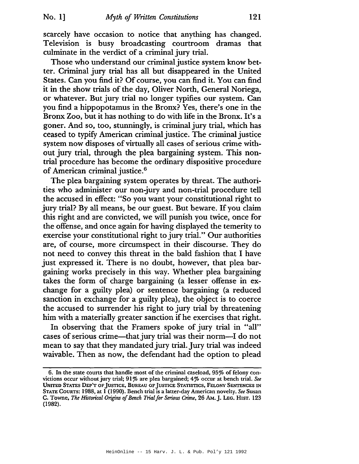scarcely have occasion to notice that anything has changed. Television is busy broadcasting courtroom dramas that culminate in the verdict of a criminal jury trial.

Those who understand our criminal justice system know better. Criminal jury trial has all but disappeared in the United States. Can you find it? Of course, you can find it. You can find it in the show trials of the day, Oliver North, General Noriega, or whatever. But jury trial no longer typifies our system. Can you find a hippopotamus in the Bronx? Yes, there's one in the Bronx Zoo, but it has nothing to do with life in the Bronx. It's a goner. And so, too, stunningly, is criminal jury trial, which has ceased to typify American criminal justice. The criminal justice system now disposes of virtually all cases of serious crime without jury trial, through the plea bargaining system. This nontrial procedure has become the ordinary dispositive procedure of American criminal justice.<sup>6</sup>

The plea bargaining system operates by threat. The authorities who administer our non-jury and non-trial procedure tell the accused in effect: "So you want your constitutional right to jury trial? By all means, be our guest. But beware. If you claim this right and are convicted, we will punish you twice, once for the offense, and once again for having displayed the temerity to exercise your constitutional right to jury trial." Our authorities are, of course, more circumspect in their discourse. They do not need to convey this threat in the bald fashion that I have just expressed it. There is no doubt, however, that plea bargaining works precisely in this way. Whether plea bargaining takes the form of charge bargaining (a lesser offense in exchange for a guilty plea) or sentence bargaining (a reduced sanction in exchange for a guilty plea), the object is to coerce the accused to surrender his right to jury trial by threatening him with a materially greater sanction if he exercises that right.

In observing that the Framers spoke of jury trial in "all" cases of serious crime-that jury trial was their norm-I do not mean to say that they mandated jury trial.Jury trial was indeed waivable. Then as now, the defendant had the option to plead

<sup>6.</sup> In the state courts that handle most of the criminal caseload,  $95\%$  of felony convictions occur without jury trial; 91 % are plea bargained; 4% occur at bench trial. *See* UNITED STATES DEP'T OF JUSTICE, BUREAU OF JUSTICE STATISTICS, FELONY SENTENCES IN STATE COURTS: 1988, at 1 (1990). Bench trial is a latter-day American novelty. *See* Susan C. Towne, *The Historical Origins ofBench TrialfoT Serious Crime,* 26 AM.j. LEG. HIST. 123 (1982).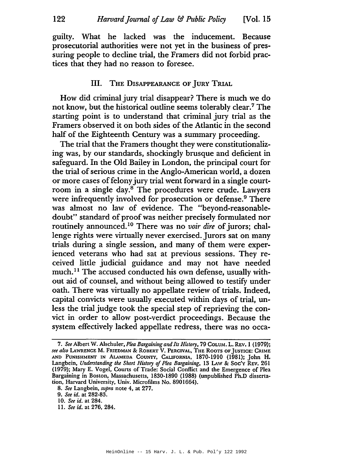guilty. What he lacked was the inducement. Because prosecutorial authorities were not yet in the business of pressuring people to decline trial, the Framers did not forbid practices that they had no reason to foresee.

### III. THE DISAPPEARANCE OF JURY TRIAL

How did criminal jury trial disappear? There is much we do not know, but the historical outline seems tolerably clear.7 The starting point is to understand that criminal jury trial as the Framers observed it on both sides of the Atlantic in the second half of the Eighteenth Century was a summary proceeding.

The trial that the Framers thought they were constitutionalizing was, by our standards, shockingly brusque and deficient in safeguard. In the Old Bailey in London, the principal court for the trial of serious crime in the Anglo-American world, a dozen or more cases of felony jury trial went forward in a single courtroom in a single day.8 The procedures were crude. Lawyers were infrequently involved for prosecution or defense.<sup>9</sup> There was almost no law of evidence. The "beyond-reasonabledoubt" standard of proof was neither precisely formulated nor routinely announced.<sup>10</sup> There was no *voir dire* of jurors; challenge rights were virtually never exercised. Jurors sat on many trials during a single session, and many of them were experienced veterans who had sat at previous sessions. They received little judicial guidance and may not have needed much. <sup>11</sup> The accused conducted his own defense, usually without aid of counsel, and without being allowed to testify under oath. There was virtually no appellate review of trials. Indeed, capital convicts were usually executed within days of trial, unless the trial judge took the special step of reprieving the convict in order to allow post-verdict proceedings. Because the system effectively lacked appellate redress, there was no occa-

*<sup>7.</sup> See* Albert W. Alschuler, *Plea Bargaining and Its History,* 79 COLUM. L. REV. I (1979); *see also* LAWRENCE M. FRIEDMAN & ROBERT V. PERCIVAL, THE ROOTS OF JUSTICE: CRIME AND PUNISHMENT IN ALAMEDA COUNTY, CAUFORNIA, 1870-1910 (1981); John H. Langbein, *Understanding the Short History* of *Plea Bargaining,* 13 LAw & SOC'y REV. 261 (1979); Mary E. Vogel, Courts of Trade: Social Conflict and the Emergence of Plea Bargaining in Boston, Massachusetts, 1830-1890 (1988) (unpublished Ph.D dissertation, Harvard University, Univ. Microfilms No. 8901664).

*<sup>8.</sup> See* Langbein, *supra* note 4, at 277.

*<sup>9.</sup> See id.* at 282-83.

*<sup>10.</sup> See id.* at 284.

<sup>11.</sup> *See id.* at 276, 284.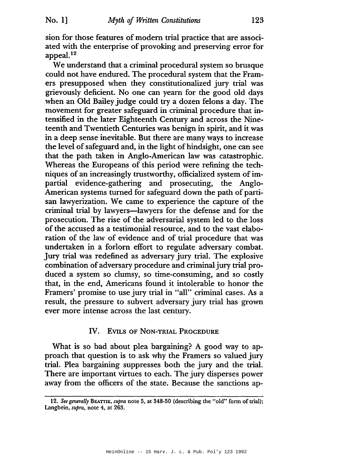sion for those features of modem trial practice that are associated with the enterprise of provoking and preserving error for appeal.<sup>12</sup>

We understand that a criminal procedural system so brusque could not have endured. The procedural system that the Framers presupposed when they constitutionalized jury trial was grievously deficient. No one can yearn for the good old days when an Old Bailey judge could try a dozen felons a day. The movement for greater safeguard in criminal procedure that intensified in the later Eighteenth Century and across the Nineteenth and Twentieth Centuries was benign in spirit, and it was in a deep sense inevitable. But there are many ways to increase the level of safeguard and, in the light of hindsight, one can see that the path taken in Anglo-American law was catastrophic. Whereas the Europeans of this period were refining the techniques of an increasingly trustworthy, officialized system of impartial evidence-gathering and prosecuting, the Anglo-American systems turned for safeguard down the path of partisan lawyerization. We came to experience the capture of the criminal trial by lawyers-lawyers for the defense and for the prosecution. The rise of the adversarial system led to the loss of the accused as a testimonial resource, and to the vast elaboration of the law of evidence and of trial procedure that was undertaken in a forlorn effort to regulate adversary combat. Jury trial was redefined as adversary jury trial. The explosive combination of adversary procedure and criminal jury trial produced a system so clumsy, so time-consuming, and so costly that, in the end, Americans found it intolerable to honor the Framers' promise to use jury trial in "all" criminal cases. As a result, the pressure to subvert adversary jury trial has grown ever more intense across the last century.

## IV. EVILS OF NON-TRIAL PROCEDURE

What is so bad about plea bargaining? A good way to approach that question is to ask why the Framers so valued jury trial. Plea bargaining suppresses both the jury and the trial. There are important virtues to each. The jury disperses power away from the officers of the state. Because the sanctions ap-

<sup>12.</sup> See generally BEATTIE, *supra* note 5, at 348-50 (describing the "old" form of trial); Langbein, *supra,* note 4, at 263.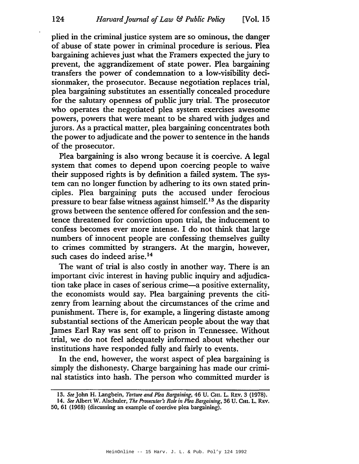plied in the criminal justice system are so ominous, the danger of abuse of state power in criminal procedure is serious. Plea bargaining achieves just what the Framers expected the jury to prevent, the aggrandizement of state power. Plea bargaining transfers the power of condemnation to a low-visibility decisionmaker, the prosecutor. Because negotiation replaces trial, plea bargaining substitutes an essentially concealed procedure for the salutary openness of public jury trial. The prosecutor who operates the negotiated plea system exercises awesome powers, powers that were meant to be shared with judges and jurors. As a practical matter, plea bargaining concentrates both the power to adjudicate and the power to sentence in the hands of the prosecutor.

Plea bargaining is also wrong because it is coercive. A legal system that comes to depend upon coercing people to waive their supposed rights is by definition a failed system. The system can no longer function by adhering to its own stated principles. Plea bargaining puts the accused under ferocious pressure to bear false witness against himself.<sup>13</sup> As the disparity grows between the sentence offered for confession and the sentence threatened for conviction upon trial, the inducement to confess becomes ever more intense. I do not think that large numbers of innocent people are confessing themselves guilty to crimes committed by strangers. At the margin, however, such cases do indeed arise.<sup>14</sup>

The want of trial is also costly in another way. There is an important civic interest in having public inquiry and adjudication take place in cases of serious crime-a positive externality, the economists would say. Plea bargaining prevents the citizenry from learning about the circumstances of the crime and punishment. There is, for example, a lingering distaste among substantial sections of the American people about the way that James Earl Ray was sent off to prison in Tennessee. Without trial, we do not feel adequately informed about whether our institutions have responded fully and fairly to events.

In the end, however, the worst aspect of plea bargaining is simply the dishonesty. Charge bargaining has made our criminal statistics into hash. The person who committed murder is

*<sup>13.</sup> See* John H. Langbein, *Torture and Plea Bargaining,* 46 U. CHI. L. REV. 3 (1978).

*<sup>14.</sup> See* Albert w. Alschuler, *The Prosecutor's Role in Plea Bargaining,* 36 U. CHI. L. REV. 50, 61 (1968) (discussing an example of coercive plea bargaining).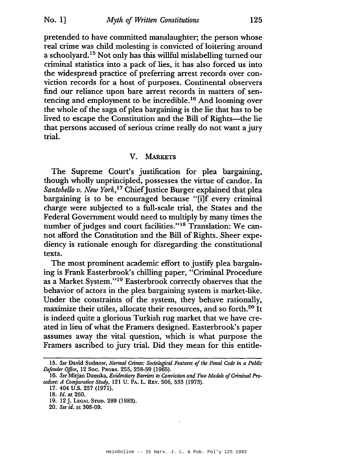pretended to have committed manslaughter; the person whose real crime was child molesting is convicted of loitering around a schoolyard.15 Not only has this willful mislabelling turned our criminal statistics into a pack of lies, it has also forced us into the widespread practice of preferring arrest records over conviction records for a host of purposes. Continental observers find our reliance upon bare arrest records in matters of sentencing and employment to be incredible.<sup>16</sup> And looming over the whole of the saga of plea bargaining is the lie that has to be lived to escape the Constitution and the Bill of Rights-the lie that persons accused of serious crime really do not want a jury trial.

## V. MARKETS

The Supreme Court's justification for plea bargaining, though wholly unprincipled, possesses the virtue of candor. In *Santobello v. New York*,<sup>17</sup> Chief Justice Burger explained that plea bargaining is to be encouraged because "[i]f every criminal charge were subjected to a full-scale trial, the States and the Federal Government would need to multiply by many times the number of judges and court facilities."<sup>18</sup> Translation: We cannot afford the Constitution and the Bill of Rights. Sheer expediency is rationale enough for disregarding the constitutional texts.

The most prominent academic effort to justify plea bargaining is Frank Easterbrook's chilling paper, "Criminal Procedure as a Market System."19 Easterbrook correctly observes that the behavior of actors in the plea bargaining system is market-like. Under the constraints of the system, they behave rationally, maximize their utiles, allocate their resources, and so forth.<sup>20</sup> It is indeed quite a glorious Turkish rug market that we have created in lieu of what the Framers designed. Easterbrook's paper assumes away the vital question, which is what purpose the Framers ascribed to jury trial. Did they mean for this entitle-

<sup>15.</sup> See David Sudnow, *Normal Crimes: Sociological Features of the Penal Code in a Public Defender Office,* 12 Soc. PROBS. 255, 258-59 (1965).

*<sup>16.</sup> See* Miljan Damska, *Evidentiary Barriers to Conviction and Two Models ojCriminal Procedure: A Comparative Study,* 121 U. PA. L. REV. 506, 533 (1973).

<sup>17.</sup> 404 U.S. 257 (1971).

<sup>18.</sup> *Id.* at 260.

<sup>19.</sup> 12 J. LEGAL STUD. 289 (1983).

*<sup>20.</sup> See id.* at 308-09.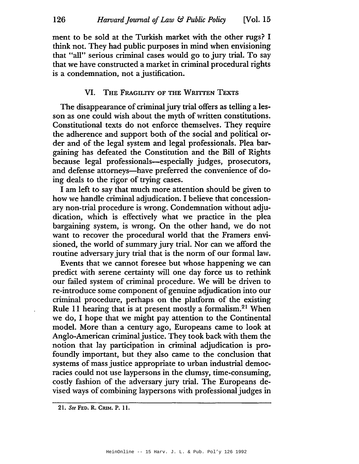ment to be sold at the Turkish market with the other rugs? I think not. They had public purposes in mind when envisioning that "all" serious criminal cases would go to jury trial. To say that we have constructed a market in criminal procedural rights is a condemnation, not a justification.

# VI. THE FRAGILITY OF THE WRITTEN TEXTS

The disappearance of criminal jury trial offers as telling a lesson as one could wish about the myth of written constitutions. Constitutional texts do not enforce themselves. They require the adherence and support both of the social and political order and of the legal system and legal professionals. Plea bargaining has defeated the Constitution and the Bill of Rights because legal professionals-especially judges, prosecutors, and defense attorneys-have preferred the convenience of doing deals to the rigor of trying cases.

I am left to say that much more attention should be given to how we handle criminal adjudication. I believe that concessionary non-trial procedure is wrong. Condemnation without adjudication, which is effectively what we practice in the plea bargaining system, is wrong. On the other hand, we do not want to recover the procedural world that the Framers envisioned, the world of summary jury trial. Nor can we afford the routine adversary jury trial that is the norm of our formal law.

Events that we cannot foresee but whose happening we can predict with serene certainty will one day force us to rethink our failed system of criminal procedure. We will be driven to re-introduce some component of genuine adjudication into our criminal procedure, perhaps on the platform of the existing Rule 11 hearing that is at present mostly a formalism.<sup>21</sup> When we do, I hope that we might pay attention to the Continental model. More than a century ago, Europeans came to look at Anglo-American criminal justice. They took back with them the notion that lay participation in criminal adjudication is profoundly important, but they also came to the conclusion that systems of mass justice appropriate to urban industrial democracies could not use laypersons in the clumsy, time-consuming, costly fashion of the adversary jury trial. The Europeans devised ways of combining laypersons with professional judges in

*<sup>21.</sup> See* FED. R. CRIM. P. 11.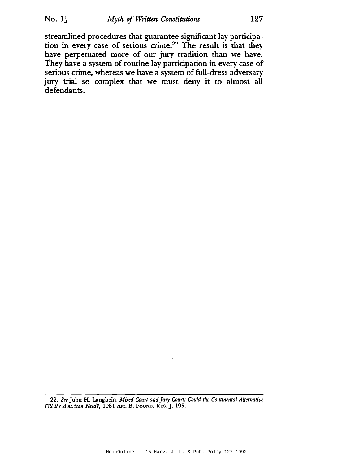They have a system of routine lay participation in every case of serious crime, whereas we have a system of full-dress adversary jury trial so complex that we must deny it to almost all defendants.

*<sup>22.</sup> See* John H. Langbein. *Mixed Court andJury Court: Could the Continental Alternative Fill the American Need?* 1981 AM. B. FOUND. RES.J. 195.